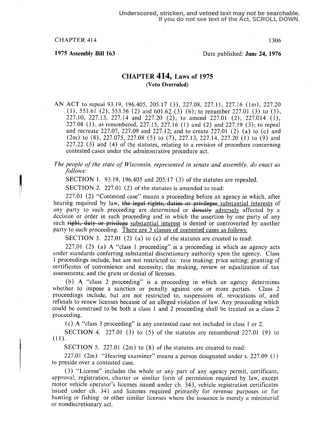1975 Assembly Bill 163 Date published: June 24, 1976

# CHAPTER 414, Laws of 1975 (Veto Overruled)

AN ACT to repeal 93.19, 196.405, 205.17 (3), 227.08, 227.11, 227.16 (lm), 227.20  $(1)$ , 551.61  $(2)$ , 553.56  $(2)$  and 601.62  $(3)$   $(b)$ ; to renumber 227.01  $(3)$  to  $(5)$ , 227.10, 227.13, 227.14 and 227.20 (2); to amend 227.01 (2), 227.014 (1), 227.08 (1), as renumbered, 227.15, 227 .16 (1) and (2) and 227.19 (3) ; to repeal and recreate 227.07, 227.09 and 227.12; and to create 227.01 (2) (a) to (c) and (2m) to (8), 227.075, 227.08 (5) to (7), 227.13, 227.14, 227.20 (1) to (9) and 227.22 (3) and (4) of the statutes, relating to a revision of procedure concerning contested cases under the administrative procedure act.

The people of the state of Wisconsin, represented in senate and assembly, do enact as follows:

SECTION 1. 93.19, 196.405 and 205.17 (3) of the statutes are repealed.

SECTION 2. 227.01 (2) of the statutes is amended to read:

227 .01 (2) "Contested case" means a proceeding before an agency in which, after hearing required by law, the legal rights, duties or privileges substantial interests of any party to such proceeding are determined or directly adversely affected by a decision or order in such proceeding and in which the assertion by one party of any such right, duty or privilege substantial interest is denied or controverted by another party to such proceeding. There are 3 classes of contested cases as follows:

SECTION 3. 227.01 (2) (a) to (c) of the statutes are created to read:

227.01 (2) (a) A "class 1 proceeding" is a proceeding in which an agency acts under standards conferring substantial discretionary authority upon the agency. Class 1 proceedings include, but are not restricted to: rate making; price setting; granting of certificates of convenience and necessity; the making, review or equalization of tax assessments; and the grant or denial of licenses .

(b) A "class 2 proceeding" is a proceeding in which an agency determines her to impose a sanction or penalty against one or more parties. Class 2 whether to impose a sanction or penalty against one or more parties. proceedings include, but are not restricted to, suspensions of, revocations of, and refusals to renew licenses because of an alleged violation of law. Any proceeding which could be construed to be both a class 1 and 2 proceeding shall be treated as a class 2 proceeding.

(c) A "class 3 proceeding" is any contested case not included in class 1 or 2.

SECTION 4. 227.01 (3) to  $(5)$  of the statutes are renumbered 227.01 (9) to  $(11)$ .

SECTION 5. 227.01 (2m) to (8) of the statutes are created to read:

227.01 (2m) "Hearing examiner" means a person designated under s. 227.09 (1) to preside over a contested case.

(3) "License" includes the whole or any part of any agency permit, certificate, approval, registration, charter or similar form of permission required by law, except motor vehicle operator's licenses issued under ch. 343, vehicle registration certificates issued under ch. 341 and licenses required primarily for revenue purposes or for hunting or fishing or other similar licenses where the issuance is merely a ministerial or nondiscretionary act.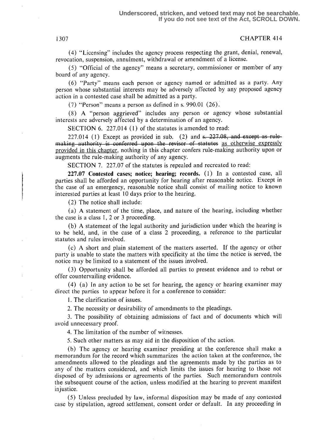(4) "Licensing" includes the agency process respecting the grant, denial, renewal, revocation, suspension, annulment, withdrawal or amendment of a license.

(5) "Official of the agency" means a secretary, commissioner or member of any board of any agency.

(6) "Party" means each person or agency named or admitted as a party. Any person whose substantial interests may be adversely affected by any proposed agency action in a contested case shall be admitted as a party.

(7) "Person" means a person as defined in s: 990.01 (26) .

(8) A "person aggrieved" includes any person or agency whose substantial interests are adversely affected by a determination of an agency.

SECTION 6. 227.014 (1) of the statutes is amended to read:

227.014 (1) Except as provided in sub. (2) and  $\epsilon$ . 227.08, and except as rulemaking authority is conferred upon the revisor of statutes as otherwise expressly provided in this chapter, nothing in this chapter confers rule-making authority upon or augments the rule-making authority of any agency.

SECTION 7. 227.07 of the statutes is repealed and recreated to read:

 $227.07$  Contested cases; notice; hearing; records.  $(1)$  In a contested case, all parties shall be afforded an opportunity for hearing after reasonable notice . Except in the case of an emergency, reasonable notice shall consist of mailing notice to known interested parties at least 10 days prior to the hearing.

 $(2)$  The notice shall include:

(a) A statement of the time, place, and nature of the hearing,' including whether the case is a class 1, 2 or 3 proceeding.

(b) A statement of the legal authority and jurisdiction under which the hearing is to be held, and, in the case of a class 2 proceeding, a reference to the particular statutes and rules involved.

(c) A short and plain statement of the matters asserted . If the agency or other party is unable to state the matters with specificity at the time the notice is served, the notice may be limited to a statement of the issues involved .

(3) Opportunity shall be afforded all parties to present evidence and to rebut or offer countervailing evidence.

(4) (a) In any action to be set for hearing, the agency or hearing examiner may direct the parties to appear before it for a conference to consider:

1. The clarification of issues.

2. The necessity or desirability of amendments to the pleadings.

<sup>3</sup> . The possibility of obtaining admissions of fact and of documents which will avoid unnecessary proof.

4. The limitation of the number of witnesses.

<sup>5</sup> . Such other matters as may aid in the disposition of the action .

(b) The agency or hearing examiner presiding at the conference shall make a memorandum for the record which summarizes the action taken at the conference, the amendments allowed to the pleadings and the agreements made by the parties as to any of the matters considered, and which limits the issues for hearing to those not disposed of by admissions or agreements of the parties. Such memorandum controls the subsequent course of the action, unless modified at the hearing to prevent manifest injustice.

(5) Unless precluded by law, informal disposition may be made of any contested case by stipulation, agreed settlement, consent order or default. In any proceeding in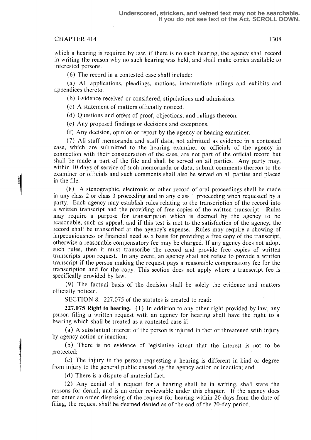which a hearing is required by law, if there is no such hearing, the agency shall record in writing the reason why no such hearing was held, and shall make copies available to interested persons.

(6) The record in a contested case shall include:

(a) All applications, pleadings, motions, intermediate rulings and exhibits and appendices thereto.

(b) Evidence received or considered, stipulations and admissions.

(c) A statement of matters officially noticed.

(d) Questions and offers of proof, objections, and rulings thereon.

(e) Any proposed findings or decisions and exceptions .

(f) Any decision, opinion or report by the agency or hearing examiner.

(7) All staff memoranda and staff data, not admitted as evidence in a contested case, which are submitted to the hearing examiner or officials of the agency in connection with their consideration of the case, are not part of the official record but shall be made a part of the file and shall be served on all parties. Any party may, within 10 days of service of such memoranda or data, submit comments thereon to the examiner or officials and such comments shall also be served on all parties and placed in the file.

(8) A stenographic, electronic or other record of oral proceedings shall be made in any class 2 or class 3 proceeding and in any class I proceeding when requested by a party. Each agency may establish rules relating to the transcription of the record into a written transcript and the providing of free copies of the written transcript. Rules may require a purpose for transcription which is deemed by the agency to be reasonable, such as appeal, and if this test is met to the satisfaction of the agency, the record shall be transcribed at the agency's expense. Rules may require a showing of impecuniousness or financial need as a basis for providing a free copy of the transcript, otherwise a reasonable compensatory fee may be charged. If any agency does not adopt such rules, then it must transcribe the record and provide free copies of written transcripts upon request. In any event, an agency shall not refuse to provide a written transcript if the person making the request pays a reasonable compensatory fee for the transcription and for the copy. This section does not apply where a transcript fee is specifically provided by law.

(9) The factual basis of the decision shall be solely the evidence and matters officially noticed.

SECTION 8. 227.075 of the statutes is created to read:

227.075 Right to hearing. (1) In addition to any other right provided by law, any person filing a written request with an agency for hearing shall have the right to a hearing which shall be treated as a contested case if:

(a) A substantial interest of the person is injured in fact or threatened with injury by agency action or inaction;

(b) There is no evidence of legislative intent that the interest is not to be protected;

(c) The injury to the person requesting a hearing is different in kind or degree from injury to the general public caused by the agency action or inaction; and

(d) There is a dispute of material fact.

(2) Any denial of a request for a hearing shall be in writing, shall state the reasons for denial, and is an order reviewable under this chapter. If the agency does not enter an order disposing of the request for hearing within 20 days from the date of filing, the request shall be deemed denied as of the end of the 20-day period.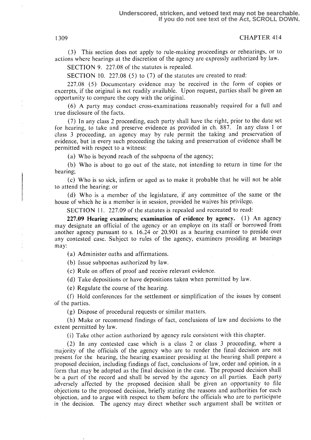(3) This section does not apply to rule-making proceedings or rehearings, or to actions where hearings at the discretion of the agency are expressly authorized by law.

SECTION 9. 227.08 of the statutes is repealed.

SECTION 10. 227.08  $(5)$  to  $(7)$  of the statutes are created to read:

227.08 (5) Documentary evidence may be received in the form of copies or excerpts, if the original is not readily available. Upon request, parties shall be given an opportunity to compare the copy with the original .

(6) A party may conduct :cross-examinations reasonably required for a full and true disclosure of the facts.

(7) In any class 2 proceeding, each party shall have the right, prior to the date set for hearing, to take and preserve evidence as provided in ch. 887. In any class 1 or class 3 proceeding, an agency may by rule permit the taking and preservation of evidence, but in every such proceeding the taking and preservation of evidence shall be permitted with respect to a witness:

(a) Who is beyond reach of the subpoena of the agency;

(b) Who is about to go out of the state, not intending to return in time for the hearing;

(c) Who is so sick, infirm or aged as to make it probable that he will not be able to attend the hearing; or

(d) Who is a member of the legislature, if any committee of the same or the house of which he is a member is in session, provided he waives his privilege.

SECTION 11. 227.09 of the statutes is repealed and recreated to read:

227.09 Hearing examiners; examination of evidence by agency. (1) An agency may designate an official of the agency or an employe on its staff or borrowed from another agency pursuant to s. 16.24 or 20.901 as a hearing examiner to preside over any contested case. Subject to rules of the agency, examiners presiding at hearings may:

(a) Administer oaths and affirmations.

(b) Issue subpoenas authorized by law.

(c) Rule on offers of proof and receive relevant evidence.

(d) Take depositions or have depositions taken when permitted by law .

(e) Regulate the course of the hearing.

(f) Hold conferences for the settlement or simplification of the issues by consent of the parties.

(g) Dispose of procedural requests or similar matters.

(h) Make or recommend findings of fact, conclusions of law and decisions to the extent permitted by law.

(i) Take other action authorized by agency rule consistent with this chapter.

(2) In any contested case which is a class 2 or class 3 proceeding, where a majority of the officials of the agency who are to render the final decision are not present for the hearing, the hearing examiner presiding at the hearing shall prepare a proposed decision, including findings of fact, conclusions of law, order and opinion, in a form that may be adopted as the final decision in the case. The proposed decision shall be a part of the record and shall be served by the agency on all parties. Each party adversely affected by the proposed decision shall be given an opportunity to file objections to the proposed decision, briefly stating the reasons and authorities for each objection, and to argue with respect to them before the officials who are to participate in the decision. The agency may direct whether such argument shall be written or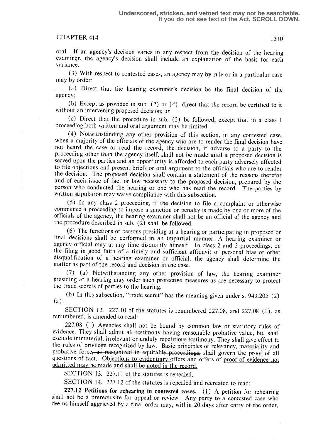oral. If an agency's decision varies in any respect from the decision of the hearing examiner, the agency's decision shall include an explanation of the basis for each variance.

(3) With respect to contested cases, an agency may by rule or in a particular case may by order:

(a) Direct that the hearing examiner's decision be the final decision of the agency;

(b) Except as provided in sub. (2) or (4), direct that the record be certified to it without an intervening proposed decision; or

(c) Direct that the procedure in sub. (2) be followed, except that in a class 1 proceeding both written and oral argument may be limited.

(4) Notwithstanding any other provision of this section, in any contested case, when a majority of the officials of the agency who are to render the final decision have not heard the case or read the record, the decision, if adverse to a party to the proceeding other than the agency itself, shall not be made until a proposed decision is served upon the parties and an opportunity is afforded to each party adversely affected to file objections and present briefs or oral argument to the officials who are to render the decision. The proposed decision shall contain a statement of the reasons therefor and of each issue of fact or law necessary to the proposed decision, prepared by the person who conducted the hearing or one who has read the record. The parties by written stipulation may waive compliance with this subsection.

(5) In any class 2 proceeding, if the decision to file a complaint or otherwise commence a proceeding to impose a sanction or penalty is made by one or more of the officials of the agency, the hearing examiner shall not be an official of the agency and the procedure described in sub. (2) shall be followed.

(6) The functions of persons presiding at a hearing or participating in proposed or final decisions shall be performed in an impartial manner. A hearing examiner or agency official may at any time disqualify himself. In class 2 and 3 proceedings, on the filing in good faith of a timely and sufficient affidavit of personal bias or other disqualification of a hearing examiner or official, the agency shall determine the matter as part of the record and decision in the case.

(7) (a) Notwithstanding any other provision of law, the hearing examiner presiding at a hearing may order such protective measures as are necessary to protect the trade secrets of parties to the hearing.

(b) In this subsection, "trade secret" has the meaning given under s. 943 .205 (2)  $(a)$ .

SECTION 12. 227.10 of the statutes is renumbered 227.08, and 227.08  $(1)$ , as renumbered, is amended to read:

227.08 (1) Agencies shall not be bound by common law or statutory rules of evidence. They shall admit all testimony having reasonable probative value, but shall exclude immaterial, irrelevant or unduly repetitious testimony. They shall give effect to the rules of privilege recognized by law. Basic principles of relevancy, materiality and probative force, as recognized in equitable proceedings, shall govern the proof of all questions of fact. Objections to evidentiary offers and offers of proof of evidence not admitted may be made and shall be noted in the record.

SECTION 13. 227.11 of the statutes is repealed.

SECTION 14. 227.12 of the statutes is repealed and recreated to read:

227.12 Petitions for rehearing in contested cases. (1) A petition for rehearing shall not be a prerequisite for appeal or review. Any party to a contested case who deems himself aggrieved by a final order may, within 20 days after entry of the order,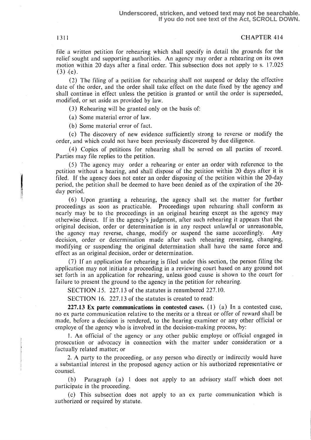file a written petition for rehearing which shall specify in detail the grounds for the relief sought and supporting authorities. An agency may order a rehearing on its own motion within 20 days after a final order. This subsection does not apply to s. 17 .025  $(3)$   $(e)$ .

(2) The filing of a petition for rehearing shall not suspend or delay the effective date of the order, and the order shall take effect on the date fixed by the agency and shall continue in effect unless the petition is granted or until the order is superseded, modified, or set aside as provided by law.

(3) Rehearing will be granted only on the basis of:

(a) Some material error of law.

(b) Some material error of fact.

(c) The discovery of new evidence sufficiently strong to reverse or modify the order, and which could not have been previously discovered by due diligence.

(4) Copies of petitions for rehearing shall be served on all parties of record . Parties may file replies to the petition.

(5) The agency may order a rehearing or enter an order with reference to the petition without a hearing, and shall dispose of the petition within 20 days after it is filed. If the agency does not enter an order disposing of the petition within the 20-day period, the petition shall be deemed to have been denied as of the expiration of the 20 day period.

(6) Upon granting a rehearing, the agency shall set the matter for further proceedings as soon as practicable. Proceedings upon rehearing shall conform as nearly may be to the proceedings in an original hearing except as the agency may otherwise direct . If in the agency's judgment, after such rehearing it appears that the original decision, order or determination is in any respect unlawful or unreasonable, the agency may reverse, change, modify or suspend the same accordingly. Any the agency may reverse, change, modify or suspend the same accordingly. decision, order or determination made after such rehearing reversing, changing, modifying or suspending the original determination shall have the same force and effect as an original decision, order or determination.

(7) If an application for rehearing is filed under this section, the person filing the application may not initiate a proceeding in a reviewing court based on any ground not set forth in an application for rehearing, unless good cause is shown to the court for failure to present the ground to the agency in the petition for rehearing.

SECTION 15. 227.13 of the statutes is renumbered 227.10.

SECTION 16. 227.13 of the statutes is created to read:

227.13 Ex parte communications in contested cases.  $(1)$   $(a)$  In a contested case, no ex parte communication relative to the merits or a threat or offer of reward shall be made, before a decision is rendered, to the hearing examiner or any other official or employe of the agency who is involved in the decision-making process, by:

<sup>1</sup> . An official of the agency or any other public employe or official engaged in prosecution or advocacy in connection with the matter under consideration or a factually related matter; or

2. A party to the proceeding, or any person who directly or indirectly would have a substantial interest in the proposed agency action or his authorized representative or counsel.

(b) Paragraph (a) 1 does not apply to an advisory staff which does not participate in the proceeding.

(c) This subsection does not apply to an ex parte communication which is authorized or required by statute.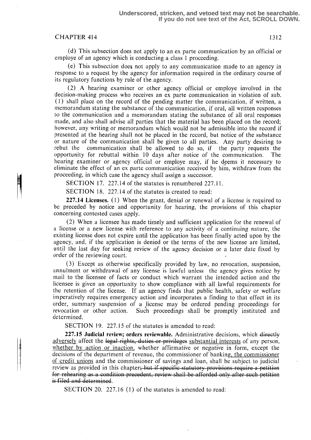(d) This subsection does not apply to an ex parte communication by an official or employe of an agency which is conducting a class 1 proceeding.

(e) This subsection does not apply to any communication made to an agency in response to a request by the agency for information required in the ordinary course of its regulatory functions by rule of the agency.

(2) A hearing examiner or other agency official or employe involved in the decision-making process who receives an ex parte communication in violation of sub. (1) shall place on the record of the pending matter the communication, if written, a memorandum stating the substance of the communication, if oral, all written responses to the communication and a memorandum stating the substance of all oral responses made, and also shall advise all parties that the material has been placed on the record; however, any writing or memorandum which would not be admissible into the record if presented at the hearing shall not be placed in the record, but notice of the substance or nature of the communication shall be given to all parties. Any party desiring to rebut the communication shall be allowed to do so, if the party requests the opportunity for rebuttal within 10 days after notice of the communication. The opportunity for rebuttal within-10 days after notice of the communication. hearing examiner or agency official or employe may, if he deems it necessary to eliminate the effect of an ex parte communication received by him, withdraw from the proceeding, in which case the agency shall assign a successor.

SECTION 17. 227.14 of the statutes is renumbered 227.11.

SECTION 18. 227.14 of the statutes is created to read:

227.14 Licenses.  $(1)$  When the grant, denial or renewal of a license is required to be preceded by notice and opportunity for hearing, the provisions of this chapter concerning contested cases apply.

(2) When a licensee has made timely and sufficient application for the renewal of a license or a new license with reference to any activity of a continuing nature, the existing license does not expire until the application has been finally acted upon by the agency, and, if the application is denied or the terms of the new license are limited, until the last day for seeking review of the agency decision or a later date fixed by order of the reviewing court.

(3) Except as otherwise specifically provided by law, no revocation, suspension, annulment or withdrawal of any license is lawful unless the agency gives notice by mail to the licensee of facts or conduct which warrant the intended action and the licensee is given an opportunity to show compliance with all lawful requirements for the retention of the license. If an agency finds that public health, safety or welfare imperatively requires emergency action and incorporates a finding to that effect in its order, summary suspension of a license may be ordered pending proceedings for revocation or other action. Such proceedings shall be promptly instituted and determined.

SECTION 19. 227.15 of the statutes is amended to read:

 $227.15$  Judicial review; orders reviewable. Administrative decisions, which  $\frac{d\textrm{irectly}}{dt}$ adversely affect the legal rights, duties or privileges substantial interests of any person, whether by action or inaction, whether affirmative or negative in form, except the decisions of the department of revenue, the commissioner of banking, the commissioner of credit unions and the commissioner of savings and loan, shall be subject to judicial review as provided in this chapter; but if specific statutory provisions require a petition for rehearing as a condition precedent, review shall be afforded only after such petition<br>is filed and determined.

SECTION 20. 227 .16 (1) of the statutes is amended to read: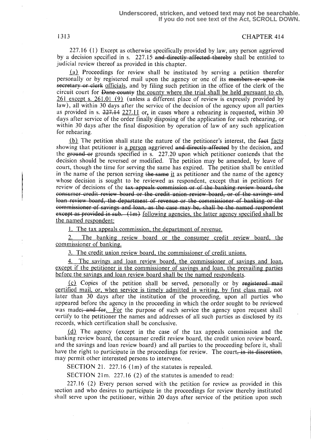227.16 (1) Except as otherwise specifically provided bylaw, any person aggrieved by a decision specified in s. 227.15 and directly affected thereby shall be entitled to judicial review thereof as provided in this chapter.

Proceedings for review. shall be instituted by serving a petition therefor personally or by registered mail upon the agency or one of its members or upon its secretary or clerk officials, and by filing such petition in the office of the clerk of the circuit court for <del>Dane county</del> the county where the trial shall be held pursuant to ch.  $261$  except s. 261.01 (9) (unless a different place of review is expressly provided by law), all within 30 days after the service of the decision of the agency upon all parties as provided in s.  $227.14$   $227.11$  or, in cases where a rehearing is requested, within 30 days after service of the order finally disposing of the application for such rehearing, or within 30 days after the final disposition. by operation of law of any such application for rehearing.

 $(b)$  The petition shall state the nature of the petitioner's interest, the fact facts showing that petitioner is a person aggrieved and directly affected by the decision, and the grounds specified in s.  $227.20$  upon which petitioner contends that the decision should be reversed or modified. The petition may be amended, by leave of court, though the time for serving the same has expired: The petition shall be entitled in the name of the person serving the same it as petitioner and the name of the agency whose decision is sought to be reviewed as respondent, except that in petitions for review of decisions of the <del>tax appeals commission or of the banking review board, the</del><br>consumer credit review board or the credit union review board, or of the savings and<br>loan review board, the department of revenue or t consumer credit review board or the credit union review board, or of the<br>loan review board, the department of revenue or the commissioner of bar<br>commissioner of equines and loan as the sess may be shall be the named onsumer credit review board or the credit union review board, or of the savings and<br>oan review board, the department of revenue or the commissioner of banking or the<br>commissioner of savings and loan, as the case may be sha commissioner of savings and loan, as the case may be, shall be the named respondent except as provided in sub.  $(1m)$  following agencies, the latter agency specified shall be the named respondent:

1. The tax appeals commission, the department of revenue.

2. The banking review board or the consumer credit review board, the commissioner of bankine.

3. The credit union review board, the commissioner of credit unions.

4. The savings and loan review board, the commissioner of savings and loan, except if the petitioner is the commissioner of savings and loan, the prevailing parties before the savings and loan review board shall be the named respondents.

 $(c)$  Copies of the petition shall be served, personally or by registered mail certified mail, or, when service is timely admitted in writing, by first class mail, not later than 30 days after the institution of the proceeding, upon all parties who appeared before the agency in the proceeding in which the order sought to be reviewed was made; and for For the purpose of such service the agency upon request shall before the savings and ioan review board shall be the named respondents.<br>
(c) Copies of the petition shall be served, personally or by registered mail<br>
certified mail, or, when service is timely admitted in writing, by fi certify to the petitioner the names and addresses of all such parties as disclosed by its records, which certification shall be conclusive.

 $(d)$  The agency (except in the case of the tax appeals commission and the banking review board, the consumer credit review board, the credit union review board, and the savings and loan review board) and all parties to the proceeding before it, shall have the right to participate in the proceedings for review. The court<del>, in its discret</del> may permit other interested persons to intervene.

SECTION 21. 227.16 (1m) of the statutes is repealed.

SECTION 21m. 227.16 (2) of the statutes is amended to read:

227 .16 (2) Every person served with the petition for review as provided in this section and who desires to participate in the proceedings for review thereby instituted shall serve upon the petitioner, within 20 days after service of the petition upon such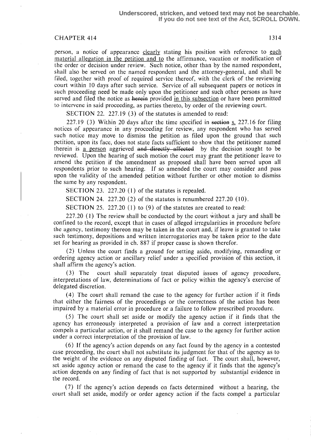person, a notice of appearance clearly stating his position with reference to each material allegation in the petition and to the affirmance, vacation or modification of the order or decision under review. Such notice, other than by the named respondent, shall also be served on the named respondent and the attorney-general, and shall be filed, together with proof of required service thereof, with the clerk of the reviewing court within 10 days after such service. Service of all subsequent papers or notices in such proceeding need be made only upon the petitioner and such other persons as have served and filed the notice as herein provided in this subsection or have been permitted to intervene in said proceeding, as parties thereto, by order of the reviewing court.

SECTION 22. 227.19 (3) of the statutes is amended to read:

227.19 (3) Within 20 days after the time specified in section  $\leq$  227.16 for filing notices of appearance in any proceeding for review, any respondent who has served such notice may move to dismiss the petition as filed upon the ground that such petition, upon its face, does not state facts sufficient to show that the petitioner named therein is a person aggrieved and directly affected by the decision sought to be reviewed. Upon the hearing of such motion the court may grant the petitioner leave to amend the petition if the amendment as proposed shall have been served upon all respondents prior to such hearing. If so amended the court may consider and pass upon the validity of the amended petition without further or other motion to dismiss the same by any respondent.

SECTION 23. 227.20  $(1)$  of the statutes is repealed.

SECTION 24. 227.20 (2) of the statutes is renumbered 227.20 (10) .

SECTION 25. 227.20 (1) to (9) of the statutes are created to read:

227.20 (1) The review shall be conducted by the court without a jury and shall be confined to the record, except that in cases of alleged irregularities in procedure before the agency, testimony thereon may be taken in the court and, if leave is granted to take such testimony, depositions and written interrogatories may be taken prior to the date set for hearing as provided in ch. 887 if proper cause is shown therefor .

(2) Unless the court finds a ground for setting aside, modifying, remanding or ordering agency action or ancillary relief under a specified provision of this section, it shall affirm the agency's action.

(3) The court shall separately treat disputed issues of agency procedure, interpretations of law, determinations of fact or policy within the agency's exercise of delegated discretion.

(4) The court shall remand the case to the agency for further action if it finds that either the fairness of the proceedings or the correctness of the action has been impaired by a material error in procedure or a failure to follow prescribed procedure.

(5) The court shall set aside or modify the agency action if it finds that the agency has erroneously interpreted a provision of law and a correct interpretation compels a particular action, or it shall remand the case to the agency for further action under a correct interpretation of the provision of law.

(6) If the agency's action depends on any fact found by the agency in a contested case proceeding, the court shall not substitute its judgment for that of the agency as to the weight of the evidence on any disputed finding of fact. The court shall, however, set aside agency action or remand the case to the agency if it finds that the agency's action depends on any finding of fact that is not supported by substantial evidence in the record.

(7) If the agency's action depends on facts determined without a hearing, the court shall set aside, modify or order agency action if the facts compel a particular